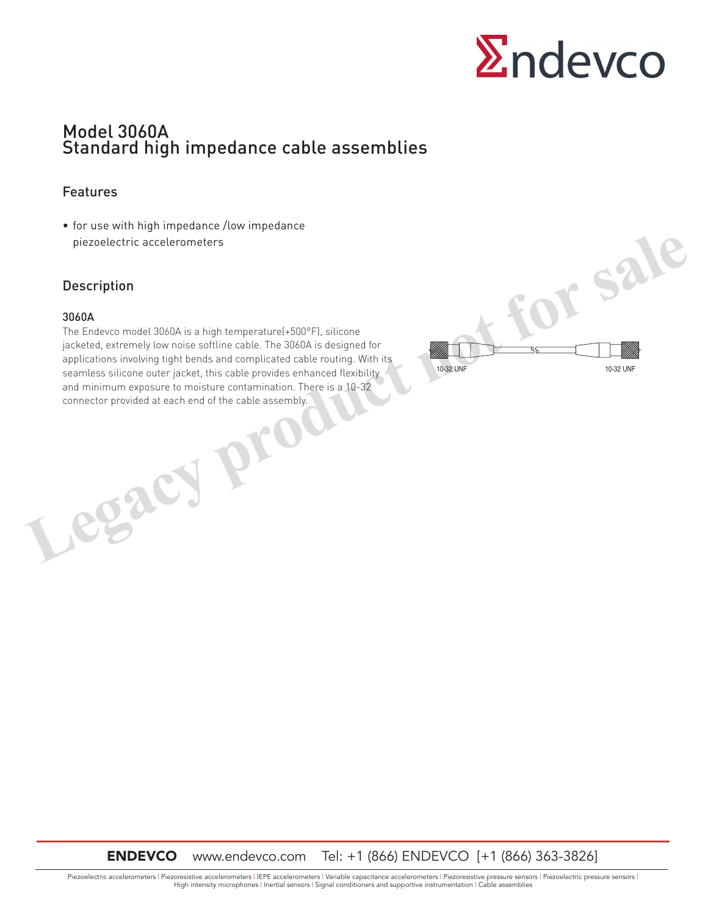

# Model 3060A Standard high impedance cable assemblies

### Features

• for use with high impedance /low impedance piezoelectric accelerometers

### Description

#### 3060A

The Endevco model 3060A is a high temperature(+500°F), silicone jacketed, extremely low noise softline cable. The 3060A is designed for applications involving tight bends and complicated cable routing. With its seamless silicone outer jacket, this cable provides enhanced flexibility and minimum exposure to moisture contamination. There is a 10-32